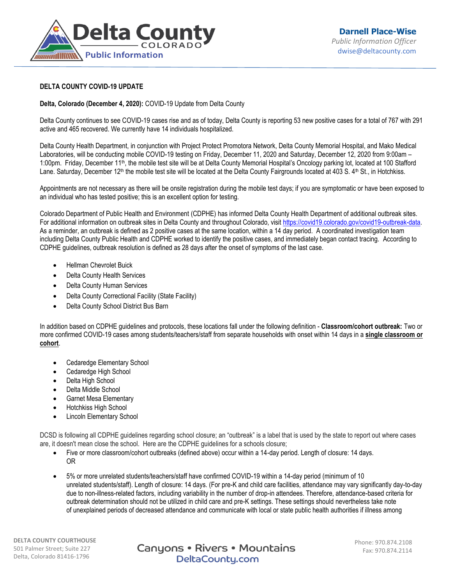

## **DELTA COUNTY COVID-19 UPDATE**

## **Delta, Colorado (December 4, 2020):** COVID-19 Update from Delta County

Delta County continues to see COVID-19 cases rise and as of today, Delta County is reporting 53 new positive cases for a total of 767 with 291 active and 465 recovered. We currently have 14 individuals hospitalized.

Delta County Health Department, in conjunction with Project Protect Promotora Network, Delta County Memorial Hospital, and Mako Medical Laboratories, will be conducting mobile COVID-19 testing on Friday, December 11, 2020 and Saturday, December 12, 2020 from 9:00am – 1:00pm. Friday, December 11<sup>th</sup>, the mobile test site will be at Delta County Memorial Hospital's Oncology parking lot, located at 100 Stafford Lane. Saturday, December 12<sup>th</sup> the mobile test site will be located at the Delta County Fairgrounds located at 403 S.  $4<sup>th</sup>$  St., in Hotchkiss.

Appointments are not necessary as there will be onsite registration during the mobile test days; if you are symptomatic or have been exposed to an individual who has tested positive; this is an excellent option for testing.

Colorado Department of Public Health and Environment (CDPHE) has informed Delta County Health Department of additional outbreak sites. For additional information on outbreak sites in Delta County and throughout Colorado, visi[t https://covid19.colorado.gov/covid19-outbreak-data.](https://covid19.colorado.gov/covid19-outbreak-data) As a reminder, an outbreak is defined as 2 positive cases at the same location, within a 14 day period. A coordinated investigation team including Delta County Public Health and CDPHE worked to identify the positive cases, and immediately began contact tracing. According to CDPHE guidelines, outbreak resolution is defined as 28 days after the onset of symptoms of the last case.

- Hellman Chevrolet Buick
- Delta County Health Services
- Delta County Human Services
- Delta County Correctional Facility (State Facility)
- Delta County School District Bus Barn

In addition based on CDPHE guidelines and protocols, these locations fall under the following definition - **Classroom/cohort outbreak:** Two or more confirmed COVID-19 cases among students/teachers/staff from separate households with onset within 14 days in a **single classroom or cohort**.

- Cedaredge Elementary School
- Cedaredge High School
- Delta High School
- Delta Middle School
- Garnet Mesa Elementary
- Hotchkiss High School
- Lincoln Elementary School

DCSD is following all CDPHE guidelines regarding school closure; an "outbreak" is a label that is used by the state to report out where cases are, it doesn't mean close the school. Here are the CDPHE guidelines for a schools closure;

- Five or more classroom/cohort outbreaks (defined above) occur within a 14-day period. Length of closure: 14 days. OR
- 5% or more unrelated students/teachers/staff have confirmed COVID-19 within a 14-day period (minimum of 10 unrelated students/staff). Length of closure: 14 days. (For pre-K and child care facilities, attendance may vary significantly day-to-day due to non-illness-related factors, including variability in the number of drop-in attendees. Therefore, attendance-based criteria for outbreak determination should not be utilized in child care and pre-K settings. These settings should nevertheless take note of unexplained periods of decreased attendance and communicate with local or state public health authorities if illness among

**DELTA COUNTY COURTHOUSE** 501 Palmer Street; Suite 227 Delta, Colorado 81416-1796

Canyons • Rivers • Mountains DeltaCounty.com

Phone: 970.874.2108 Fax: 970.874.2114